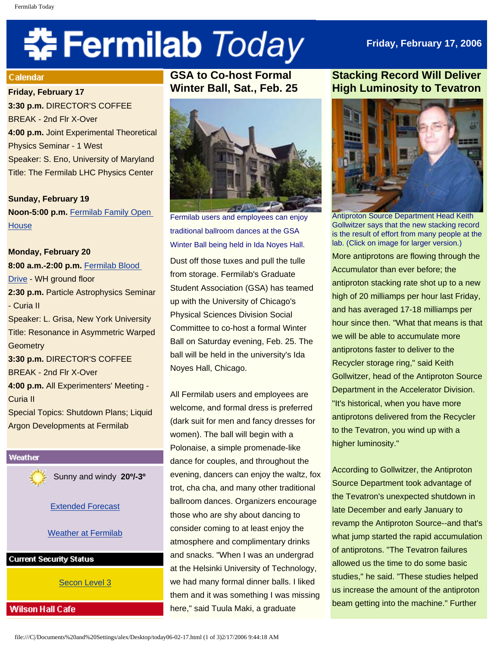# 축 Fermilab Today

## **Friday, February 17, 2006**

#### Calendar

**Friday, February 17 3:30 p.m.** DIRECTOR'S COFFEE BREAK - 2nd Flr X-Over **4:00 p.m.** Joint Experimental Theoretical Physics Seminar - 1 West Speaker: S. Eno, University of Maryland Title: The Fermilab LHC Physics Center

**Sunday, February 19 Noon-5:00 p.m.** [Fermilab Family Open](http://www-ed.fnal.gov/ffse/openhouse.html)  **[House](http://www-ed.fnal.gov/ffse/openhouse.html)** 

# **Monday, February 20 8:00 a.m.-2:00 p.m.** [Fermilab Blood](http://www-esh.fnal.gov/)  [Drive](http://www-esh.fnal.gov/) - WH ground floor **2:30 p.m.** Particle Astrophysics Seminar - Curia II Speaker: L. Grisa, New York University Title: Resonance in Asymmetric Warped **Geometry 3:30 p.m.** DIRECTOR'S COFFEE BREAK - 2nd Flr X-Over **4:00 p.m.** All Experimenters' Meeting - Curia II Special Topics: Shutdown Plans; Liquid Argon Developments at Fermilab



Sunny and windy **20º/-3º**

## [Extended Forecast](http://www.srh.noaa.gov/data/forecasts/ILZ012.php?warncounty=ILC089&city=Batavia)

### Weather at Fermilab

**Current Security Status** 

[Secon Level 3](http://www.fnal.gov/pub/about/public_affairs/currentstatus.html)

## **Wilson Hall Cafe**

**GSA to Co-host Formal Winter Ball, Sat., Feb. 25** 



Fermilab users and employees can enjoy traditional ballroom dances at the GSA Winter Ball being held in Ida Noyes Hall.

Dust off those tuxes and pull the tulle from storage. Fermilab's Graduate Student Association (GSA) has teamed up with the University of Chicago's Physical Sciences Division Social Committee to co-host a formal Winter Ball on Saturday evening, Feb. 25. The ball will be held in the university's Ida Noyes Hall, Chicago.

All Fermilab users and employees are welcome, and formal dress is preferred (dark suit for men and fancy dresses for women). The ball will begin with a Polonaise, a simple promenade-like dance for couples, and throughout the evening, dancers can enjoy the waltz, fox trot, cha cha, and many other traditional ballroom dances. Organizers encourage those who are shy about dancing to consider coming to at least enjoy the atmosphere and complimentary drinks and snacks. "When I was an undergrad at the Helsinki University of Technology, we had many formal dinner balls. I liked them and it was something I was missing here," said Tuula Maki, a graduate

# **Stacking Record Will Deliver High Luminosity to Tevatron**



Antiproton Source Department Head Keith Gollwitzer says that the new stacking record is the result of effort from many people at the lab. (Click on image for larger version.) More antiprotons are flowing through the Accumulator than ever before; the antiproton stacking rate shot up to a new high of 20 milliamps per hour last Friday, and has averaged 17-18 milliamps per hour since then. "What that means is that we will be able to accumulate more antiprotons faster to deliver to the Recycler storage ring," said Keith Gollwitzer, head of the Antiproton Source Department in the Accelerator Division. "It's historical, when you have more antiprotons delivered from the Recycler to the Tevatron, you wind up with a higher luminosity."

According to Gollwitzer, the Antiproton Source Department took advantage of the Tevatron's unexpected shutdown in late December and early January to revamp the Antiproton Source--and that's what jump started the rapid accumulation of antiprotons. "The Tevatron failures allowed us the time to do some basic studies," he said. "These studies helped us increase the amount of the antiproton beam getting into the machine." Further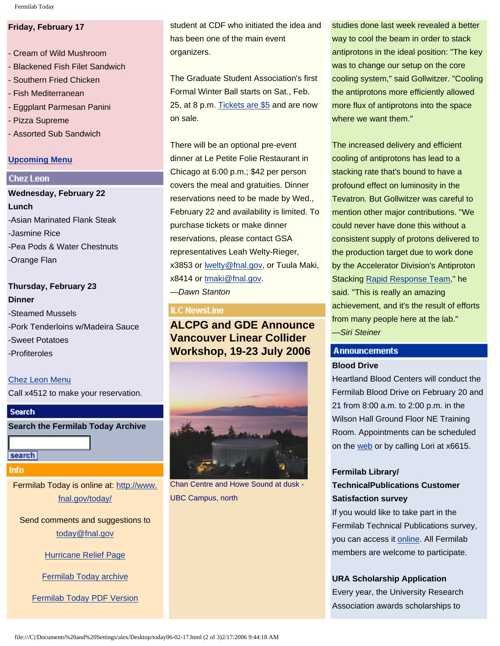#### **Friday, February 17**

- Cream of Wild Mushroom - Blackened Fish Filet Sandwich - Southern Fried Chicken - Fish Mediterranean - Eggplant Parmesan Panini - Pizza Supreme - Assorted Sub Sandwich

#### **[Upcoming Menu](http://lss.fnal.gov/cafe)**

#### **Chez Leon**

**Wednesday, February 22 Lunch** -Asian Marinated Flank Steak -Jasmine Rice -Pea Pods & Water Chestnuts -Orange Flan

# **Thursday, February 23 Dinner** -Steamed Mussels -Pork Tenderloins w/Madeira Sauce -Sweet Potatoes -Profiteroles

[Chez Leon Menu](http://lss.fnal.gov/chezleon/index.html) Call x4512 to make your reservation.

#### **Search**

**Search the Fermilab Today Archive**

search

**Info** 

Fermilab Today is online at: [http://www.](http://www.fnal.gov/today/) [fnal.gov/today/](http://www.fnal.gov/today/)

Send comments and suggestions to [today@fnal.gov](mailto:today@fnal.gov)

[Hurricane Relief Page](http://www.fnal.gov/pub/today/katrina_relief.html)

[Fermilab Today archive](http://www.fnal.gov/pub/today/archive.html)

[Fermilab Today PDF Version](http://www.fnal.gov/pub/today/archive.html)

student at CDF who initiated the idea and has been one of the main event organizers.

The Graduate Student Association's first Formal Winter Ball starts on Sat., Feb. 25, at 8 p.m. [Tickets are \\$5](http://www.fnal.gov/orgs/gsa/calendar/winterball/winterball.html) and are now on sale.

There will be an optional pre-event dinner at Le Petite Folie Restaurant in Chicago at 6:00 p.m.; \$42 per person covers the meal and gratuities. Dinner reservations need to be made by Wed., February 22 and availability is limited. To purchase tickets or make dinner reservations, please contact GSA representatives Leah Welty-Rieger, x3853 or [lwelty@fnal.gov](mailto:lwelty@fnal.gov), or Tuula Maki, x8414 or [tmaki@fnal.gov](mailto:tmaki@fnal.gov).

*—Dawn Stanton*

#### **ILC NewsLine**

**ALCPG and GDE Announce Vancouver Linear Collider Workshop, 19-23 July 2006** 



Chan Centre and Howe Sound at dusk - UBC Campus, north

studies done last week revealed a better way to cool the beam in order to stack antiprotons in the ideal position: "The key was to change our setup on the core cooling system," said Gollwitzer. "Cooling the antiprotons more efficiently allowed more flux of antiprotons into the space where we want them."

The increased delivery and efficient cooling of antiprotons has lead to a stacking rate that's bound to have a profound effect on luminosity in the Tevatron. But Gollwitzer was careful to mention other major contributions. "We could never have done this without a consistent supply of protons delivered to the production target due to work done by the Accelerator Division's Antiproton Stacking [Rapid Response Team,](http://www.fnal.gov/pub/today/luminosityseries/luminosity8.html)" he said. "This is really an amazing achievement, and it's the result of efforts from many people here at the lab." *—Siri Steiner*

## **Announcements Blood Drive**

Heartland Blood Centers will conduct the Fermilab Blood Drive on February 20 and 21 from 8:00 a.m. to 2:00 p.m. in the Wilson Hall Ground Floor NE Training Room. Appointments can be scheduled on the [web](http://www-esh.fnal.gov/) or by calling Lori at x6615.

## **Fermilab Library/ TechnicalPublications Customer Satisfaction survey**

If you would like to take part in the Fermilab Technical Publications survey, you can access it [online.](http://lss.fnal.gov/ird/library_survey_numerical.html) All Fermilab members are welcome to participate.

#### **URA Scholarship Application**

Every year, the University Research Association awards scholarships to